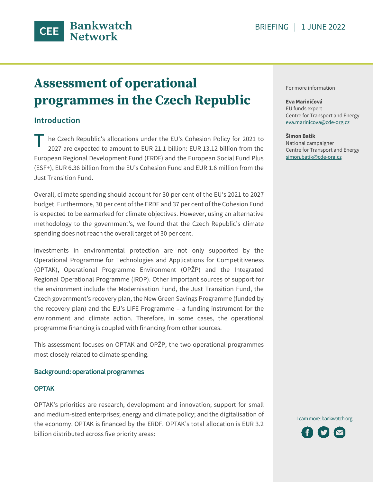

# **Assessment of operational programmes in the Czech Republic**

## **Introduction**

he Czech Republic's allocations under the EU's Cohesion Policy for 2021 to 2027 are expected to amount to EUR 21.1 billion: EUR 13.12 billion from the European Regional Development Fund (ERDF) and the European Social Fund Plus (ESF+), EUR 6.36 billion from the EU's Cohesion Fund and EUR 1.6 million from the Just Transition Fund. T

Overall, climate spending should account for 30 per cent of the EU's 2021 to 2027 budget. Furthermore, 30 per cent of the ERDF and 37 per cent of the Cohesion Fund is expected to be earmarked for climate objectives. However, using an alternative methodology to the government's, we found that the Czech Republic's climate spending does not reach the overall target of 30 per cent.

Investments in environmental protection are not only supported by the Operational Programme for Technologies and Applications for Competitiveness (OPTAK), Operational Programme Environment (OPŽP) and the Integrated Regional Operational Programme (IROP). Other important sources of support for the environment include the Modernisation Fund, the Just Transition Fund, the Czech government's recovery plan, the New Green Savings Programme (funded by the recovery plan) and the EU's LIFE Programme – a funding instrument for the environment and climate action. Therefore, in some cases, the operational programme financing is coupled with financing from other sources.

This assessment focuses on OPTAK and OPŽP, the two operational programmes most closely related to climate spending.

#### **Background: operational programmes**

#### **OPTAK**

OPTAK's priorities are research, development and innovation; support for small and medium-sized enterprises; energy and climate policy; and the digitalisation of the economy. OPTAK is financed by the ERDF. OPTAK's total allocation is EUR 3.2 billion distributed across five priority areas:

For more information

#### **Eva Mariničová**

EU funds expert Centre for Transport and Energy [eva.marinicova@cde-org.cz](mailto:eva.marinicova@cde-org.cz)

#### **Šimon Batík**

National campaigner Centre for Transport and Energy simon.batik@cde-org.cz

Learn more[: bankwatch.org](http://bankwatch.org/)

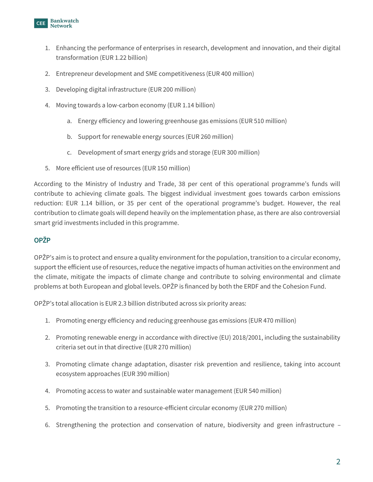

- 1. Enhancing the performance of enterprises in research, development and innovation, and their digital transformation (EUR 1.22 billion)
- 2. Entrepreneur development and SME competitiveness (EUR 400 million)
- 3. Developing digital infrastructure (EUR 200 million)
- 4. Moving towards a low-carbon economy (EUR 1.14 billion)
	- a. Energy efficiency and lowering greenhouse gas emissions (EUR 510 million)
	- b. Support for renewable energy sources (EUR 260 million)
	- c. Development of smart energy grids and storage (EUR 300 million)
- 5. More efficient use of resources (EUR 150 million)

According to the Ministry of Industry and Trade, 38 per cent of this operational programme's funds will contribute to achieving climate goals. The biggest individual investment goes towards carbon emissions reduction: EUR 1.14 billion, or 35 per cent of the operational programme's budget. However, the real contribution to climate goals will depend heavily on the implementation phase, as there are also controversial smart grid investments included in this programme.

## **OPŽP**

OPŽP's aim is to protect and ensure a quality environment for the population, transition to a circular economy, support the efficient use of resources, reduce the negative impacts of human activities on the environment and the climate, mitigate the impacts of climate change and contribute to solving environmental and climate problems at both European and global levels. OPŽP is financed by both the ERDF and the Cohesion Fund.

OPŽP's total allocation is EUR 2.3 billion distributed across six priority areas:

- 1. Promoting energy efficiency and reducing greenhouse gas emissions (EUR 470 million)
- 2. Promoting renewable energy in accordance with directive (EU) 2018/2001, including the sustainability criteria set out in that directive (EUR 270 million)
- 3. Promoting climate change adaptation, disaster risk prevention and resilience, taking into account ecosystem approaches (EUR 390 million)
- 4. Promoting access to water and sustainable water management (EUR 540 million)
- 5. Promoting the transition to a resource-efficient circular economy (EUR 270 million)
- 6. Strengthening the protection and conservation of nature, biodiversity and green infrastructure –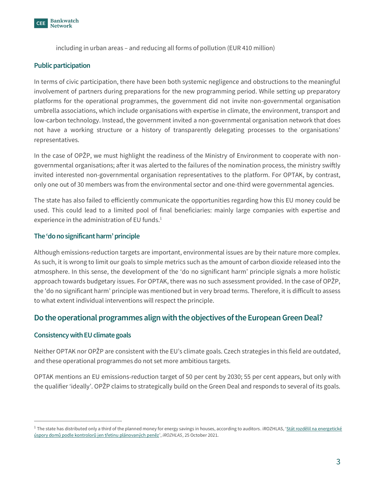

including in urban areas – and reducing all forms of pollution (EUR 410 million)

### **Public participation**

In terms of civic participation, there have been both systemic negligence and obstructions to the meaningful involvement of partners during preparations for the new programming period. While setting up preparatory platforms for the operational programmes, the government did not invite non-governmental organisation umbrella associations, which include organisations with expertise in climate, the environment, transport and low-carbon technology. Instead, the government invited a non-governmental organisation network that does not have a working structure or a history of transparently delegating processes to the organisations' representatives.

In the case of OPŽP, we must highlight the readiness of the Ministry of Environment to cooperate with nongovernmental organisations; after it was alerted to the failures of the nomination process, the ministry swiftly invited interested non-governmental organisation representatives to the platform. For OPTAK, by contrast, only one out of 30 members was from the environmental sector and one-third were governmental agencies.

The state has also failed to efficiently communicate the opportunities regarding how this EU money could be used. This could lead to a limited pool of final beneficiaries: mainly large companies with expertise and experience in the administration of EU funds.<sup>1</sup>

### **The 'do no significant harm' principle**

Although emissions-reduction targets are important, environmental issues are by their nature more complex. As such, it is wrong to limit our goals to simple metrics such as the amount of carbon dioxide released into the atmosphere. In this sense, the development of the 'do no significant harm' principle signals a more holistic approach towards budgetary issues. For OPTAK, there was no such assessment provided. In the case of OPŽP, the 'do no significant harm' principle was mentioned but in very broad terms. Therefore, it is difficult to assess to what extent individual interventions will respect the principle.

## **Do the operational programmes align with the objectives of the European Green Deal?**

#### **Consistency with EU climate goals**

Neither OPTAK nor OPŽP are consistent with the EU's climate goals. Czech strategies in this field are outdated, and these operational programmes do not set more ambitious targets.

OPTAK mentions an EU emissions-reduction target of 50 per cent by 2030; 55 per cent appears, but only with the qualifier 'ideally'. OPŽP claims to strategically build on the Green Deal and responds to several of its goals.

 $^1$  The state has distributed only a third of the planned money for energy savings in houses, according to auditors. iROZHLAS, '<u>Stát rozdělil na energetické</u> [úspory domů podle kontrolorů jen třetinu plánovaných peněz',](https://www.irozhlas.cz/zpravy-domov/nejvyssi-kontrolni-urad-energeticke-uspory_2110250953_pj) *iROZHLAS*, 25 October 2021.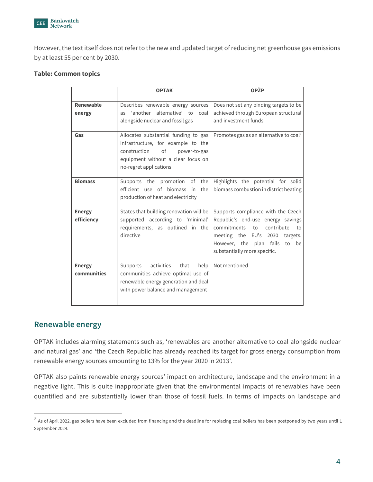

However, the text itself does not refer to the new and updated target of reducing net greenhouse gas emissions by at least 55 per cent by 2030.

#### **Table: Common topics**

|                              | <b>OPTAK</b>                                                                                                                                                                     | <b>OPŽP</b>                                                                                                                                                                                                         |
|------------------------------|----------------------------------------------------------------------------------------------------------------------------------------------------------------------------------|---------------------------------------------------------------------------------------------------------------------------------------------------------------------------------------------------------------------|
| Renewable<br>energy          | Describes renewable energy sources<br>as 'another alternative' to<br>coal<br>alongside nuclear and fossil gas                                                                    | Does not set any binding targets to be<br>achieved through European structural<br>and investment funds                                                                                                              |
| Gas                          | Allocates substantial funding to gas<br>infrastructure, for example to the<br>construction<br>of<br>power-to-gas<br>equipment without a clear focus on<br>no-regret applications | Promotes gas as an alternative to coal <sup>2</sup>                                                                                                                                                                 |
| <b>Biomass</b>               | Supports the promotion of the<br>efficient use of biomass<br>the<br>in<br>production of heat and electricity                                                                     | Highlights the potential for solid<br>biomass combustion in district heating                                                                                                                                        |
| <b>Energy</b><br>efficiency  | States that building renovation will be<br>supported according to 'minimal'<br>requirements, as outlined in the<br>directive                                                     | Supports compliance with the Czech<br>Republic's end-use energy savings<br>commitments to<br>contribute<br>to<br>meeting the EU's 2030 targets.<br>However, the plan fails to<br>be<br>substantially more specific. |
| <b>Energy</b><br>communities | activities<br>that<br>help<br>Supports<br>communities achieve optimal use of<br>renewable energy generation and deal<br>with power balance and management                        | Not mentioned                                                                                                                                                                                                       |

## **Renewable energy**

OPTAK includes alarming statements such as, 'renewables are another alternative to coal alongside nuclear and natural gas' and 'the Czech Republic has already reached its target for gross energy consumption from renewable energy sources amounting to 13% for the year 2020 in 2013'.

OPTAK also paints renewable energy sources' impact on architecture, landscape and the environment in a negative light. This is quite inappropriate given that the environmental impacts of renewables have been quantified and are substantially lower than those of fossil fuels. In terms of impacts on landscape and

 $^2$  As of April 2022, gas boilers have been excluded from financing and the deadline for replacing coal boilers has been postponed by two years until 1 September 2024.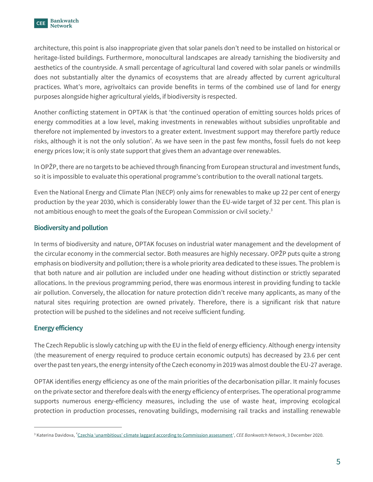

architecture, this point is also inappropriate given that solar panels don't need to be installed on historical or heritage-listed buildings. Furthermore, monocultural landscapes are already tarnishing the biodiversity and aesthetics of the countryside. A small percentage of agricultural land covered with solar panels or windmills does not substantially alter the dynamics of ecosystems that are already affected by current agricultural practices. What's more, agrivoltaics can provide benefits in terms of the combined use of land for energy purposes alongside higher agricultural yields, if biodiversity is respected.

Another conflicting statement in OPTAK is that 'the continued operation of emitting sources holds prices of energy commodities at a low level, making investments in renewables without subsidies unprofitable and therefore not implemented by investors to a greater extent. Investment support may therefore partly reduce risks, although it is not the only solution'. As we have seen in the past few months, fossil fuels do not keep energy prices low; it is only state support that gives them an advantage over renewables.

In OPŽP, there are no targets to be achieved through financing from European structural and investment funds, so it is impossible to evaluate this operational programme's contribution to the overall national targets.

Even the National Energy and Climate Plan (NECP) only aims for renewables to make up 22 per cent of energy production by the year 2030, which is considerably lower than the EU-wide target of 32 per cent. This plan is not ambitious enough to meet the goals of the European Commission or civil society. 3

## **Biodiversity and pollution**

In terms of biodiversity and nature, OPTAK focuses on industrial water management and the development of the circular economy in the commercial sector. Both measures are highly necessary. OPŽP puts quite a strong emphasis on biodiversity and pollution; there is a whole priority area dedicated to these issues. The problem is that both nature and air pollution are included under one heading without distinction or strictly separated allocations. In the previous programming period, there was enormous interest in providing funding to tackle air pollution. Conversely, the allocation for nature protection didn't receive many applicants, as many of the natural sites requiring protection are owned privately. Therefore, there is a significant risk that nature protection will be pushed to the sidelines and not receive sufficient funding.

## **Energy efficiency**

The Czech Republic is slowly catching up with the EU in the field of energy efficiency. Although energy intensity (the measurement of energy required to produce certain economic outputs) has decreased by 23.6 per cent over the past ten years, the energy intensity of the Czech economy in 2019 was almost double the EU-27 average.

OPTAK identifies energy efficiency as one of the main priorities of the decarbonisation pillar. It mainly focuses on the private sector and therefore deals with the energy efficiency of enterprises. The operational programme supports numerous energy-efficiency measures, including the use of waste heat, improving ecological protection in production processes, renovating buildings, modernising rail tracks and installing renewable

<sup>3</sup> Katerina Davidova, '[Czechia 'unambitious' climate laggard according to Commission assessment',](https://bankwatch.org/blog/czechia-unambitious-climate-laggard-according-to-commission-assessment) *CEE Bankwatch Network*, 3 December 2020.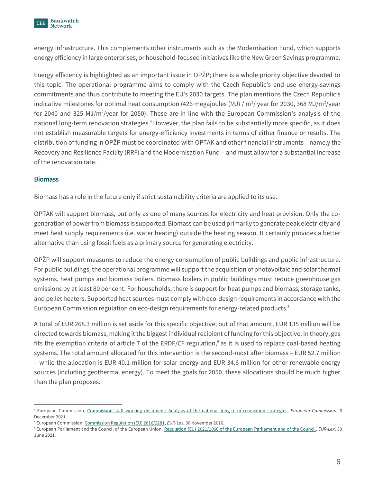

energy infrastructure. This complements other instruments such as the Modernisation Fund, which supports energy efficiency in large enterprises, or household-focused initiatives like the New Green Savings programme.

Energy efficiency is highlighted as an important issue in OPŽP; there is a whole priority objective devoted to this topic. The operational programme aims to comply with the Czech Republic's end-use energy-savings commitments and thus contribute to meeting the EU's 2030 targets. The plan mentions the Czech Republic's indicative milestones for optimal heat consumption (426 megajoules (MJ) / m<sup>2</sup>/ year for 2030, 368 MJ/m<sup>2</sup>/year for 2040 and 325 MJ/m<sup>2</sup>/year for 2050). These are in line with the European Commission's analysis of the national long-term renovation strategies.<sup>4</sup> However, the plan fails to be substantially more specific, as it does not establish measurable targets for energy-efficiency investments in terms of either finance or results. The distribution of funding in OPŽP must be coordinated with OPTAK and other financial instruments – namely the Recovery and Resilience Facility (RRF) and the Modernisation Fund – and must allow for a substantial increase of the renovation rate.

### **Biomass**

Biomass has a role in the future only if strict sustainability criteria are applied to its use.

OPTAK will support biomass, but only as one of many sources for electricity and heat provision. Only the cogeneration of power from biomass is supported. Biomass can be used primarily to generate peak electricity and meet heat supply requirements (i.e. water heating) outside the heating season. It certainly provides a better alternative than using fossil fuels as a primary source for generating electricity.

OPŽP will support measures to reduce the energy consumption of public buildings and public infrastructure. For public buildings, the operational programme will support the acquisition of photovoltaic and solar thermal systems, heat pumps and biomass boilers. Biomass boilers in public buildings must reduce greenhouse gas emissions by at least 80 per cent. For households, there is support for heat pumps and biomass, storage tanks, and pellet heaters. Supported heat sources must comply with eco-design requirements in accordance with the European Commission regulation on eco-design requirements for energy-related products. 5

A total of EUR 268.3 million is set aside for this specific objective; out of that amount, EUR 135 million will be directed towards biomass, making it the biggest individual recipient of funding for this objective. In theory, gas fits the exemption criteria of article 7 of the ERDF/CF regulation,<sup>6</sup> as it is used to replace coal-based heating systems. The total amount allocated for this intervention is the second-most after biomass – EUR 52.7 million – while the allocation is EUR 40.1 million for solar energy and EUR 34.6 million for other renewable energy sources (including geothermal energy). To meet the goals for 2050, these allocations should be much higher than the plan proposes.

<sup>4</sup> European Commission, [Commission staff working document: Analysis of the national long-term renovation strategies,](https://energy.ec.europa.eu/system/files/2021-12/swd-on-national-long-term-renovation-strategies.pdf) *European Commission*, 6 December 2021.

<sup>5</sup> European Commission[, Commission Regulation \(EU\) 2016/2281,](https://eur-lex.europa.eu/legal-content/EN/ALL/?uri=CELEX%3A32016R2281) *EUR-Lex*, 30 November 2016.

<sup>6</sup> European Parliament and the Council of the European Union[, Regulation \(EU\) 2021/1060 of the European Parliament and of the Council,](https://eur-lex.europa.eu/legal-content/EN/TXT/?uri=CELEX%3A32021R1060) *EUR-Lex*, 30 June 2021.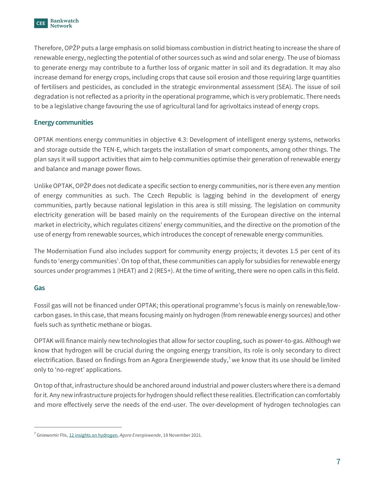

Therefore, OPŽP puts a large emphasis on solid biomass combustion in district heating to increase the share of renewable energy, neglecting the potential of other sources such as wind and solar energy. The use of biomass to generate energy may contribute to a further loss of organic matter in soil and its degradation. It may also increase demand for energy crops, including crops that cause soil erosion and those requiring large quantities of fertilisers and pesticides, as concluded in the strategic environmental assessment (SEA). The issue of soil degradation is not reflected as a priority in the operational programme, which is very problematic. There needs to be a legislative change favouring the use of agricultural land for agrivoltaics instead of energy crops.

## **Energy communities**

OPTAK mentions energy communities in objective 4.3: Development of intelligent energy systems, networks and storage outside the TEN-E, which targets the installation of smart components, among other things. The plan says it will support activities that aim to help communities optimise their generation of renewable energy and balance and manage power flows.

Unlike OPTAK, OPŽP does not dedicate a specific section to energy communities, nor is there even any mention of energy communities as such. The Czech Republic is lagging behind in the development of energy communities, partly because national legislation in this area is still missing. The legislation on community electricity generation will be based mainly on the requirements of the European directive on the internal market in electricity, which regulates citizens' energy communities, and the directive on the promotion of the use of energy from renewable sources, which introduces the concept of renewable energy communities.

The Modernisation Fund also includes support for community energy projects; it devotes 1.5 per cent of its funds to 'energy communities'. On top of that, these communities can apply for subsidies for renewable energy sources under programmes 1 (HEAT) and 2 (RES+). At the time of writing, there were no open calls in this field.

#### **Gas**

Fossil gas will not be financed under OPTAK; this operational programme's focus is mainly on renewable/lowcarbon gases. In this case, that means focusing mainly on hydrogen (from renewable energy sources) and other fuels such as synthetic methane or biogas.

OPTAK will finance mainly new technologies that allow for sector coupling, such as power-to-gas. Although we know that hydrogen will be crucial during the ongoing energy transition, its role is only secondary to direct electrification. Based on findings from an Agora Energiewende study,<sup>7</sup> we know that its use should be limited only to 'no-regret' applications.

On top of that, infrastructure should be anchored around industrial and power clusters where there is a demand for it. Any new infrastructure projects for hydrogen should reflect these realities. Electrification can comfortably and more effectively serve the needs of the end-user. The over-development of hydrogen technologies can

<sup>7</sup> Gniewomir Flis[, 12 insights on hydrogen,](https://static.agora-energiewende.de/fileadmin/Projekte/2021/2021_11_H2_Insights/2021-11-18_Slides_Agora_12_insights_on_hydrogen.pdf) *Agora Energiewende*, 18 November 2021.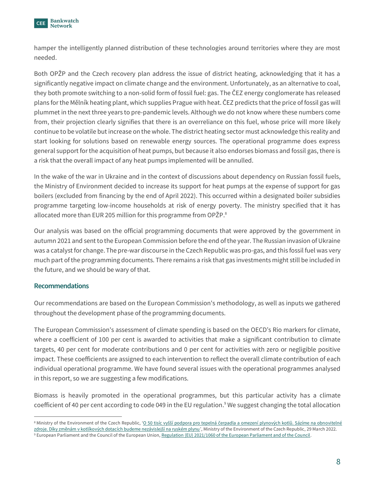

hamper the intelligently planned distribution of these technologies around territories where they are most needed.

Both OPŽP and the Czech recovery plan address the issue of district heating, acknowledging that it has a significantly negative impact on climate change and the environment. Unfortunately, as an alternative to coal, they both promote switching to a non-solid form of fossil fuel: gas. The ČEZ energy conglomerate has released plans for the Mělník heating plant, which supplies Prague with heat. ČEZ predicts that the price of fossil gas will plummet in the next three years to pre-pandemic levels. Although we do not know where these numbers come from, their projection clearly signifies that there is an overreliance on this fuel, whose price will more likely continue to be volatile but increase on the whole. The district heating sector must acknowledge this reality and start looking for solutions based on renewable energy sources. The operational programme does express general support for the acquisition of heat pumps, but because it also endorses biomass and fossil gas, there is a risk that the overall impact of any heat pumps implemented will be annulled.

In the wake of the war in Ukraine and in the context of discussions about dependency on Russian fossil fuels, the Ministry of Environment decided to increase its support for heat pumps at the expense of support for gas boilers (excluded from financing by the end of April 2022). This occurred within a designated boiler subsidies programme targeting low-income households at risk of energy poverty. The ministry specified that it has allocated more than EUR 205 million for this programme from OPŽP.<sup>8</sup>

Our analysis was based on the official programming documents that were approved by the government in autumn 2021 and sent to the European Commission before the end of the year. The Russian invasion of Ukraine was a catalyst for change. The pre-war discourse in the Czech Republic was pro-gas, and this fossil fuel was very much part of the programming documents. There remains a risk that gas investments might still be included in the future, and we should be wary of that.

## **Recommendations**

Our recommendations are based on the European Commission's methodology, as well as inputs we gathered throughout the development phase of the programming documents.

The European Commission's assessment of climate spending is based on the OECD's Rio markers for climate, where a coefficient of 100 per cent is awarded to activities that make a significant contribution to climate targets, 40 per cent for moderate contributions and 0 per cent for activities with zero or negligible positive impact. These coefficients are assigned to each intervention to reflect the overall climate contribution of each individual operational programme. We have found several issues with the operational programmes analysed in this report, so we are suggesting a few modifications.

Biomass is heavily promoted in the operational programmes, but this particular activity has a climate coefficient of 40 per cent according to code 049 in the EU regulation. <sup>9</sup> We suggest changing the total allocation

<sup>&</sup>lt;sup>8</sup> Ministry of the Environment of the Czech Republic, ['O 50 tisíc vyšší podpora pro tepelná čerpadla a omezení plynových kotlů. Sázíme na obn](https://www.mzp.cz/cz/news_20220329-O-50-tisic-vyssi-podpora-pro-tepelna-cerpadla-a-omezeni-plynovych-kotlu-Sazime-na-obnovitelne-zdroje)ovitelné [zdroje. Díky změnám v kotlíkových dotacích budeme nezávislejší na ruském plynu'](https://www.mzp.cz/cz/news_20220329-O-50-tisic-vyssi-podpora-pro-tepelna-cerpadla-a-omezeni-plynovych-kotlu-Sazime-na-obnovitelne-zdroje), Ministry of the Environment of the Czech Republic, 29 March 2022. <sup>9</sup> European Parliament and the Council of the European Union[, Regulation \(EU\) 2021/1060 of the European Parliament and of the Council.](https://eur-lex.europa.eu/legal-content/EN/TXT/?uri=CELEX%3A32021R1060)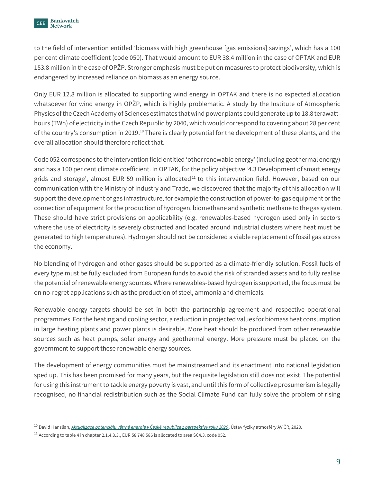

to the field of intervention entitled 'biomass with high greenhouse [gas emissions] savings', which has a 100 per cent climate coefficient (code 050). That would amount to EUR 38.4 million in the case of OPTAK and EUR 153.8 million in the case of OPŽP. Stronger emphasis must be put on measures to protect biodiversity, which is endangered by increased reliance on biomass as an energy source.

Only EUR 12.8 million is allocated to supporting wind energy in OPTAK and there is no expected allocation whatsoever for wind energy in OPŽP, which is highly problematic. A study by the Institute of Atmospheric Physics of the Czech Academy of Sciences estimates that wind power plants could generate up to 18.8 terawatthours (TWh) of electricity in the Czech Republic by 2040, which would correspond to covering about 28 per cent of the country's consumption in 2019.<sup>10</sup> There is clearly potential for the development of these plants, and the overall allocation should therefore reflect that.

Code 052 corresponds to the intervention field entitled 'other renewable energy' (including geothermal energy) and has a 100 per cent climate coefficient. In OPTAK, for the policy objective '4.3 Development of smart energy grids and storage', almost EUR 59 million is allocated<sup>11</sup> to this intervention field. However, based on our communication with the Ministry of Industry and Trade, we discovered that the majority of this allocation will support the development of gas infrastructure, for example the construction of power-to-gas equipment or the connection of equipment for the production of hydrogen, biomethane and synthetic methane to the gas system. These should have strict provisions on applicability (e.g. renewables-based hydrogen used only in sectors where the use of electricity is severely obstructed and located around industrial clusters where heat must be generated to high temperatures). Hydrogen should not be considered a viable replacement of fossil gas across the economy.

No blending of hydrogen and other gases should be supported as a climate-friendly solution. Fossil fuels of every type must be fully excluded from European funds to avoid the risk of stranded assets and to fully realise the potential of renewable energy sources. Where renewables-based hydrogen is supported, the focus must be on no-regret applications such as the production of steel, ammonia and chemicals.

Renewable energy targets should be set in both the partnership agreement and respective operational programmes. For the heating and cooling sector, a reduction in projected values for biomass heat consumption in large heating plants and power plants is desirable. More heat should be produced from other renewable sources such as heat pumps, solar energy and geothermal energy. More pressure must be placed on the government to support these renewable energy sources.

The development of energy communities must be mainstreamed and its enactment into national legislation sped up. This has been promised for many years, but the requisite legislation still does not exist. The potential for using this instrument to tackle energy poverty is vast, and until this form of collective prosumerism is legally recognised, no financial redistribution such as the Social Climate Fund can fully solve the problem of rising

<sup>10</sup> David Hanslian, *[Aktualizace potenciálu větrné energie v České republice z perspektivy roku 2020](https://www.ufa.cas.cz/DATA/vetrna-energie/Potencial_vetrne_energie_2020.pdf)*, Ústav fyziky atmosféry AV ČR, 2020.

 $11$  According to table 4 in chapter 2.1.4.3.3., EUR 58 748 586 is allocated to area SC4.3. code 052.